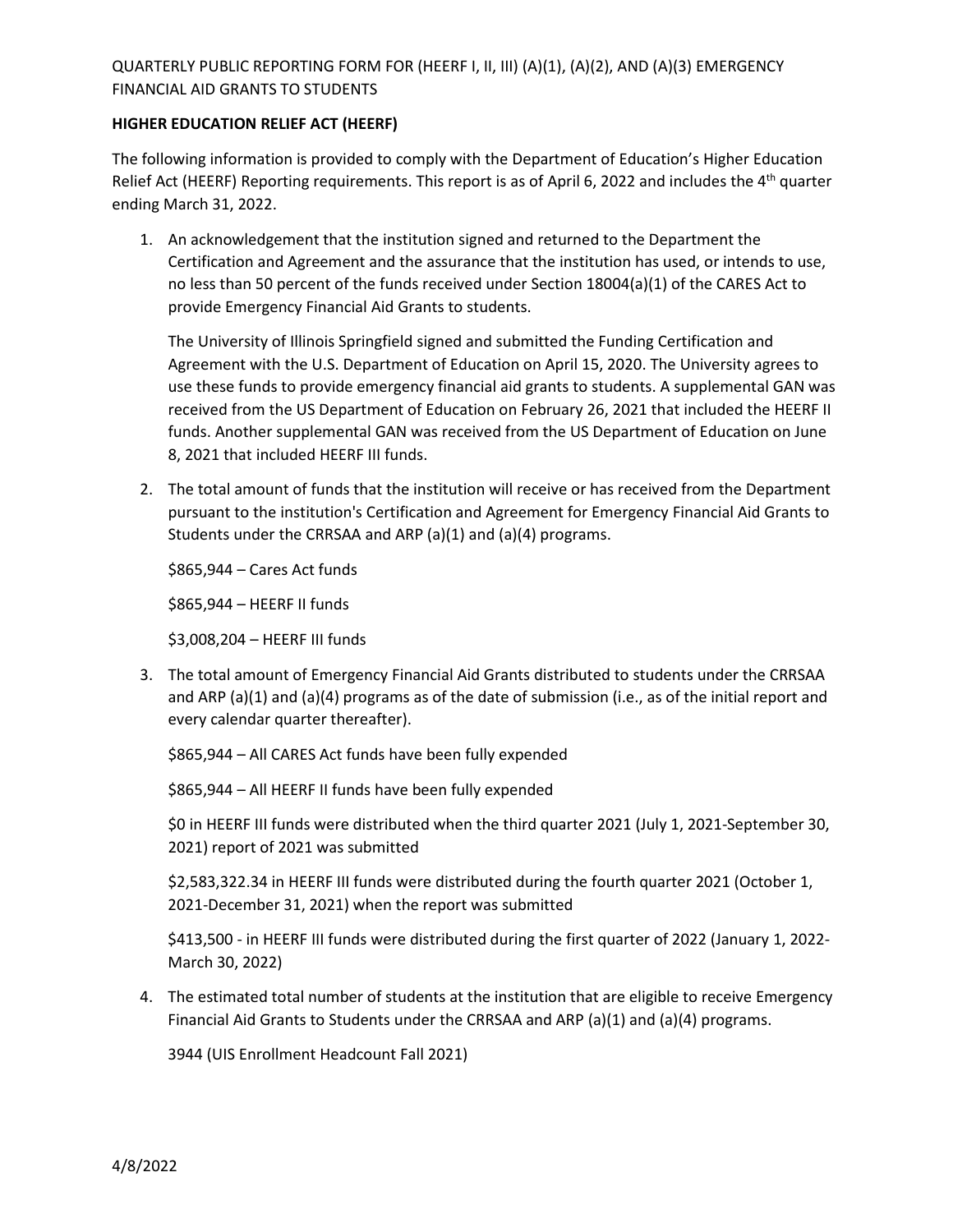## QUARTERLY PUBLIC REPORTING FORM FOR (HEERF I, II, III) (A)(1), (A)(2), AND (A)(3) EMERGENCY FINANCIAL AID GRANTS TO STUDENTS

### **HIGHER EDUCATION RELIEF ACT (HEERF)**

The following information is provided to comply with the Department of Education's Higher Education Relief Act (HEERF) Reporting requirements. This report is as of April 6, 2022 and includes the  $4<sup>th</sup>$  quarter ending March 31, 2022.

1. An acknowledgement that the institution signed and returned to the Department the Certification and Agreement and the assurance that the institution has used, or intends to use, no less than 50 percent of the funds received under Section 18004(a)(1) of the CARES Act to provide Emergency Financial Aid Grants to students.

The University of Illinois Springfield signed and submitted the Funding Certification and Agreement with the U.S. Department of Education on April 15, 2020. The University agrees to use these funds to provide emergency financial aid grants to students. A supplemental GAN was received from the US Department of Education on February 26, 2021 that included the HEERF II funds. Another supplemental GAN was received from the US Department of Education on June 8, 2021 that included HEERF III funds.

2. The total amount of funds that the institution will receive or has received from the Department pursuant to the institution's Certification and Agreement for Emergency Financial Aid Grants to Students under the CRRSAA and ARP (a)(1) and (a)(4) programs.

\$865,944 – Cares Act funds

\$865,944 – HEERF II funds

\$3,008,204 – HEERF III funds

3. The total amount of Emergency Financial Aid Grants distributed to students under the CRRSAA and ARP (a)(1) and (a)(4) programs as of the date of submission (i.e., as of the initial report and every calendar quarter thereafter).

\$865,944 – All CARES Act funds have been fully expended

\$865,944 – All HEERF II funds have been fully expended

\$0 in HEERF III funds were distributed when the third quarter 2021 (July 1, 2021-September 30, 2021) report of 2021 was submitted

\$2,583,322.34 in HEERF III funds were distributed during the fourth quarter 2021 (October 1, 2021-December 31, 2021) when the report was submitted

\$413,500 - in HEERF III funds were distributed during the first quarter of 2022 (January 1, 2022- March 30, 2022)

4. The estimated total number of students at the institution that are eligible to receive Emergency Financial Aid Grants to Students under the CRRSAA and ARP (a)(1) and (a)(4) programs.

3944 (UIS Enrollment Headcount Fall 2021)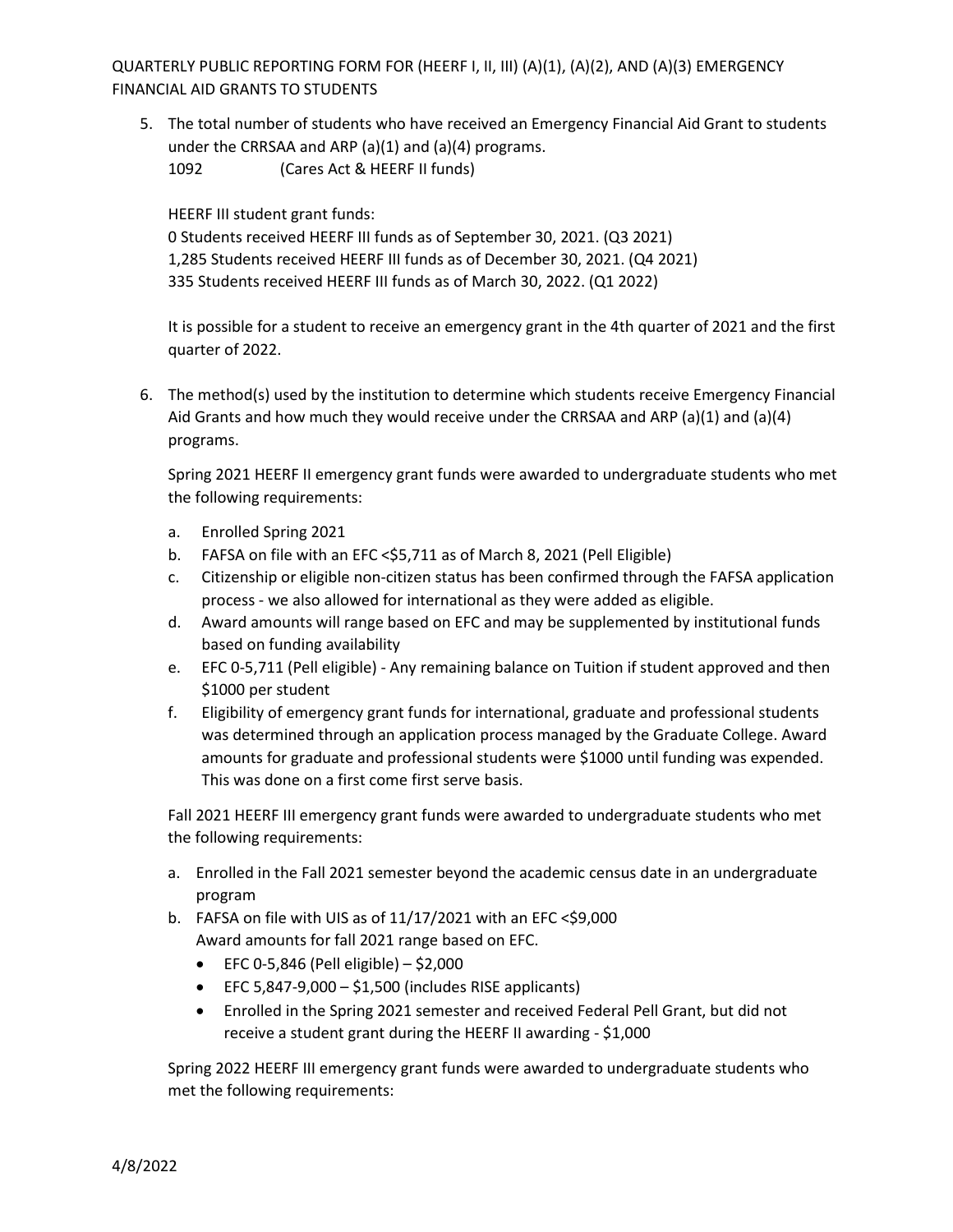QUARTERLY PUBLIC REPORTING FORM FOR (HEERF I, II, III) (A)(1), (A)(2), AND (A)(3) EMERGENCY FINANCIAL AID GRANTS TO STUDENTS

5. The total number of students who have received an Emergency Financial Aid Grant to students under the CRRSAA and ARP  $(a)(1)$  and  $(a)(4)$  programs. 1092 (Cares Act & HEERF II funds)

HEERF III student grant funds:

0 Students received HEERF III funds as of September 30, 2021. (Q3 2021) 1,285 Students received HEERF III funds as of December 30, 2021. (Q4 2021) 335 Students received HEERF III funds as of March 30, 2022. (Q1 2022)

It is possible for a student to receive an emergency grant in the 4th quarter of 2021 and the first quarter of 2022.

6. The method(s) used by the institution to determine which students receive Emergency Financial Aid Grants and how much they would receive under the CRRSAA and ARP (a)(1) and (a)(4) programs.

Spring 2021 HEERF II emergency grant funds were awarded to undergraduate students who met the following requirements:

- a. Enrolled Spring 2021
- b. FAFSA on file with an EFC < \$5,711 as of March 8, 2021 (Pell Eligible)
- c. Citizenship or eligible non-citizen status has been confirmed through the FAFSA application process - we also allowed for international as they were added as eligible.
- d. Award amounts will range based on EFC and may be supplemented by institutional funds based on funding availability
- e. EFC 0-5,711 (Pell eligible) Any remaining balance on Tuition if student approved and then \$1000 per student
- f. Eligibility of emergency grant funds for international, graduate and professional students was determined through an application process managed by the Graduate College. Award amounts for graduate and professional students were \$1000 until funding was expended. This was done on a first come first serve basis.

Fall 2021 HEERF III emergency grant funds were awarded to undergraduate students who met the following requirements:

- a. Enrolled in the Fall 2021 semester beyond the academic census date in an undergraduate program
- b. FAFSA on file with UIS as of  $11/17/2021$  with an EFC <\$9,000 Award amounts for fall 2021 range based on EFC.
	- EFC 0-5,846 (Pell eligible)  $-$  \$2,000
	- $\bullet$  EFC 5,847-9,000 \$1,500 (includes RISE applicants)
	- Enrolled in the Spring 2021 semester and received Federal Pell Grant, but did not receive a student grant during the HEERF II awarding - \$1,000

Spring 2022 HEERF III emergency grant funds were awarded to undergraduate students who met the following requirements: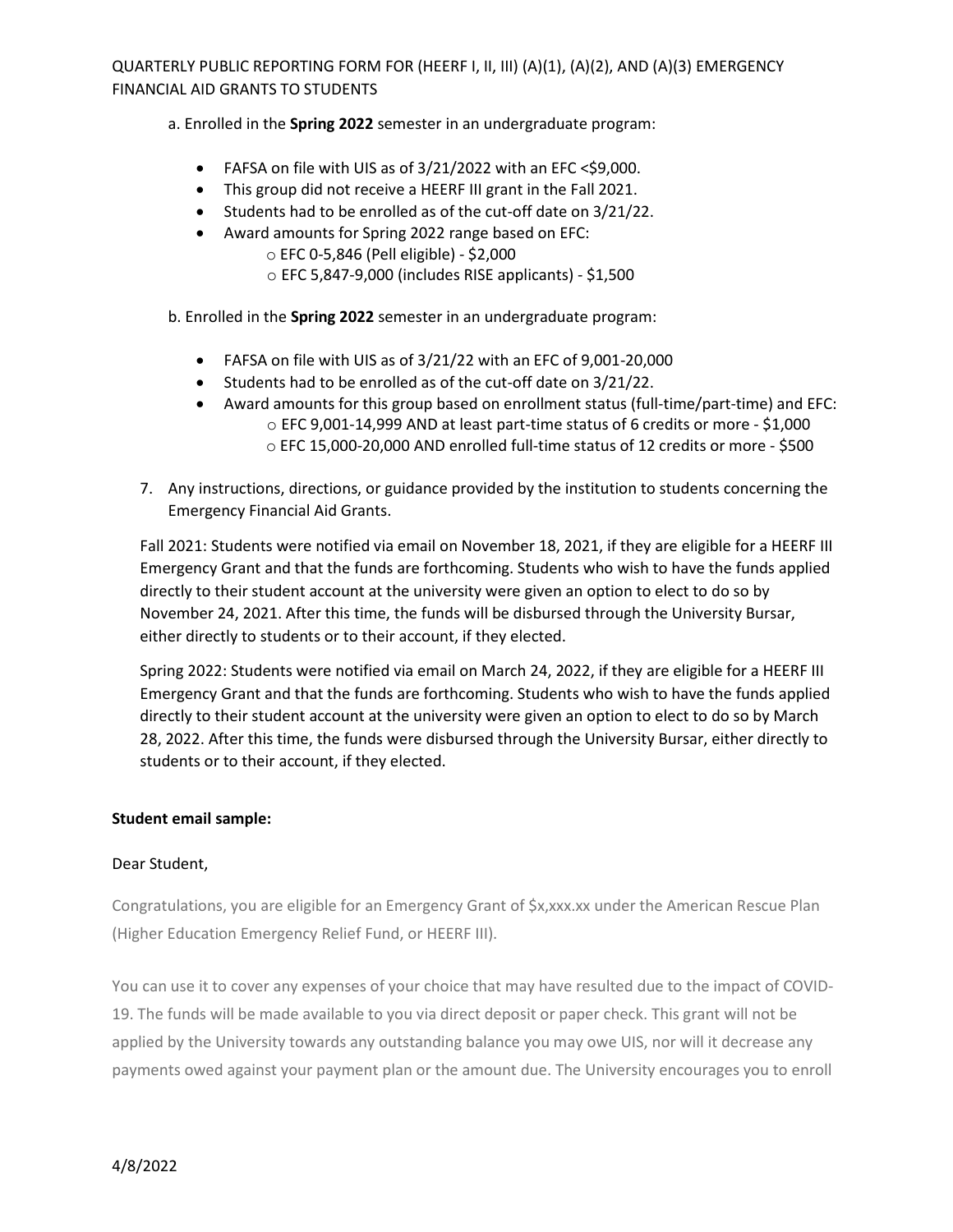QUARTERLY PUBLIC REPORTING FORM FOR (HEERF I, II, III) (A)(1), (A)(2), AND (A)(3) EMERGENCY FINANCIAL AID GRANTS TO STUDENTS

a. Enrolled in the **Spring 2022** semester in an undergraduate program:

- FAFSA on file with UIS as of  $3/21/2022$  with an EFC <\$9,000.
- This group did not receive a HEERF III grant in the Fall 2021.
- Students had to be enrolled as of the cut-off date on 3/21/22.
- Award amounts for Spring 2022 range based on EFC:
	- o EFC 0-5,846 (Pell eligible) \$2,000
	- $\circ$  EFC 5,847-9,000 (includes RISE applicants) \$1,500

b. Enrolled in the **Spring 2022** semester in an undergraduate program:

- FAFSA on file with UIS as of 3/21/22 with an EFC of 9,001-20,000
- Students had to be enrolled as of the cut-off date on 3/21/22.
- Award amounts for this group based on enrollment status (full-time/part-time) and EFC: o EFC 9,001-14,999 AND at least part-time status of 6 credits or more - \$1,000 o EFC 15,000-20,000 AND enrolled full-time status of 12 credits or more - \$500
- 7. Any instructions, directions, or guidance provided by the institution to students concerning the Emergency Financial Aid Grants.

Fall 2021: Students were notified via email on November 18, 2021, if they are eligible for a HEERF III Emergency Grant and that the funds are forthcoming. Students who wish to have the funds applied directly to their student account at the university were given an option to elect to do so by November 24, 2021. After this time, the funds will be disbursed through the University Bursar, either directly to students or to their account, if they elected.

Spring 2022: Students were notified via email on March 24, 2022, if they are eligible for a HEERF III Emergency Grant and that the funds are forthcoming. Students who wish to have the funds applied directly to their student account at the university were given an option to elect to do so by March 28, 2022. After this time, the funds were disbursed through the University Bursar, either directly to students or to their account, if they elected.

### **Student email sample:**

### Dear Student,

Congratulations, you are eligible for an Emergency Grant of \$x,xxx.xx under the American Rescue Plan (Higher Education Emergency Relief Fund, or HEERF III).

You can use it to cover any expenses of your choice that may have resulted due to the impact of COVID-19. The funds will be made available to you via direct deposit or paper check. This grant will not be applied by the University towards any outstanding balance you may owe UIS, nor will it decrease any payments owed against your payment plan or the amount due. The University encourages you to enroll